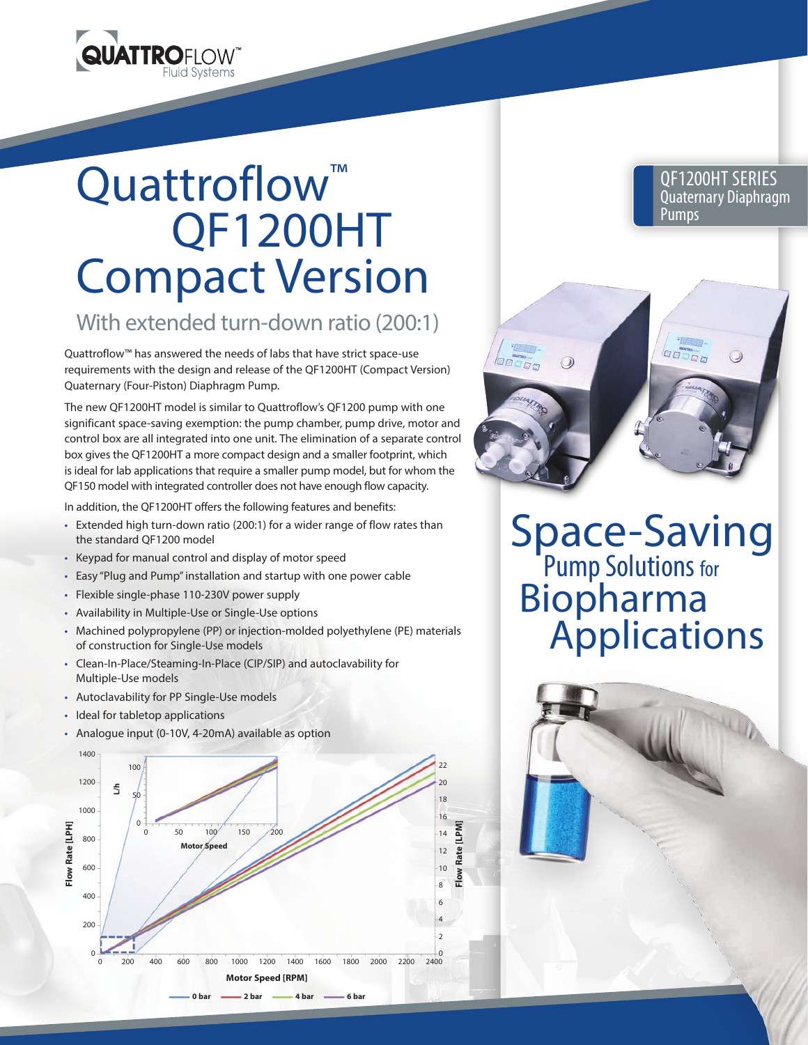

## Quattroflow<sup>™</sup> QF1200HT Compact Version

## With extended turn-down ratio (200:1)

Quattroflow™ has answered the needs of labs that have strict space-use requirements with the design and release of the QF1200HT (Compact Version) Quaternary (Four-Piston) Diaphragm Pump.

The new QF1200HT model is similar to Quattroflow's QF1200 pump with one significant space-saving exemption: the pump chamber, pump drive, motor and control box are all integrated into one unit. The elimination of a separate control box gives the QF1200HT a more compact design and a smaller footprint, which is ideal for lab applications that require a smaller pump model, but for whom the QF150 model with integrated controller does not have enough flow capacity.

In addition, the QF1200HT offers the following features and benefits:

- Extended high turn-down ratio (200:1) for a wider range of flow rates than the standard QF1200 model
- Keypad for manual control and display of motor speed
- Easy "Plug and Pump" installation and startup with one power cable
- Flexible single-phase 110-230V power supply
- Availability in Multiple-Use or Single-Use options
- Machined polypropylene (PP) or injection-molded polyethylene (PE) materials of construction for Single-Use models
- Clean-In-Place/Steaming-In-Place (CIP/SIP) and autoclavability for Multiple-Use models
- Autoclavability for PP Single-Use models
- Ideal for tabletop applications
- Analogue input (0-10V, 4-20mA) available as option



**QF1200HT Series** QF1200HT SERIES **Pumps Act Advisor Contrary Diaphragm** Pumps

OODDE



 $\odot$